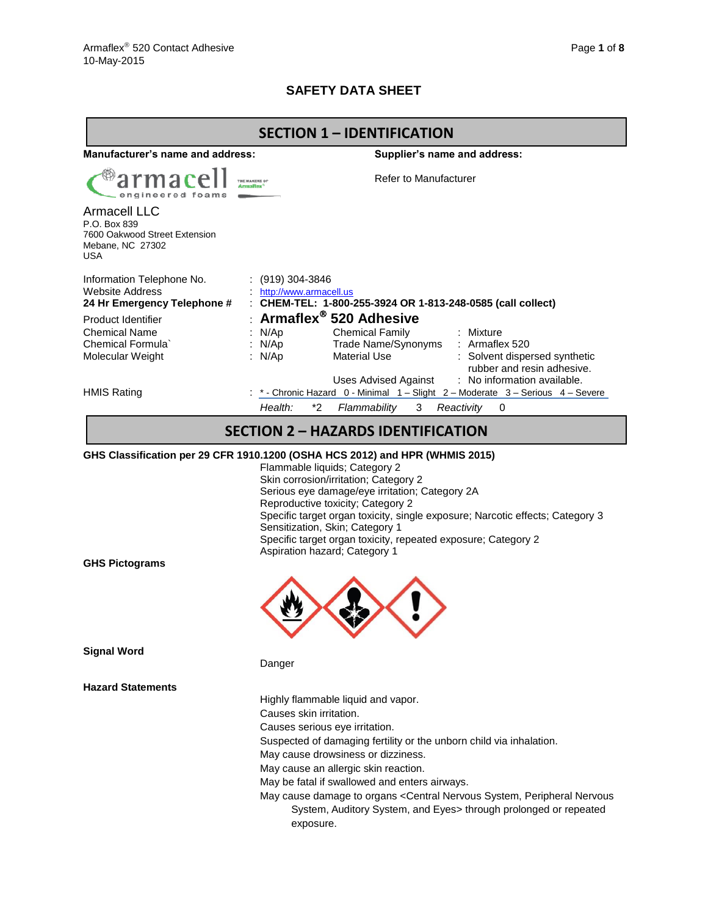# **SAFETY DATA SHEET**

| <b>SECTION 1 - IDENTIFICATION</b>                                                                      |                                                                                                                                                                                                                                                                                                                                                                                                                                                                   |  |  |  |  |
|--------------------------------------------------------------------------------------------------------|-------------------------------------------------------------------------------------------------------------------------------------------------------------------------------------------------------------------------------------------------------------------------------------------------------------------------------------------------------------------------------------------------------------------------------------------------------------------|--|--|--|--|
| <b>Manufacturer's name and address:</b>                                                                | Supplier's name and address:                                                                                                                                                                                                                                                                                                                                                                                                                                      |  |  |  |  |
| armacell<br>engineered foams                                                                           | Refer to Manufacturer<br>THE MAKERS OF<br><b>Armaflex</b>                                                                                                                                                                                                                                                                                                                                                                                                         |  |  |  |  |
| <b>Armacell LLC</b><br>P.O. Box 839<br>7600 Oakwood Street Extension<br>Mebane, NC 27302<br><b>USA</b> |                                                                                                                                                                                                                                                                                                                                                                                                                                                                   |  |  |  |  |
| Information Telephone No.<br><b>Website Address</b><br>24 Hr Emergency Telephone #                     | : (919) 304-3846<br>http://www.armacell.us<br>: CHEM-TEL: 1-800-255-3924 OR 1-813-248-0585 (call collect)                                                                                                                                                                                                                                                                                                                                                         |  |  |  |  |
| Product Identifier                                                                                     | : Armaflex <sup>®</sup> 520 Adhesive                                                                                                                                                                                                                                                                                                                                                                                                                              |  |  |  |  |
| <b>Chemical Name</b>                                                                                   | : N/Ap<br><b>Chemical Family</b><br>: Mixture                                                                                                                                                                                                                                                                                                                                                                                                                     |  |  |  |  |
| Chemical Formula                                                                                       | Trade Name/Synonyms : Armaflex 520<br>: N/Ap                                                                                                                                                                                                                                                                                                                                                                                                                      |  |  |  |  |
| Molecular Weight                                                                                       | <b>Material Use</b><br>: Solvent dispersed synthetic<br>: $N/Ap$<br>rubber and resin adhesive.                                                                                                                                                                                                                                                                                                                                                                    |  |  |  |  |
|                                                                                                        | Uses Advised Against : No information available.                                                                                                                                                                                                                                                                                                                                                                                                                  |  |  |  |  |
| <b>HMIS Rating</b>                                                                                     | *- Chronic Hazard 0 - Minimal 1 - Slight 2 - Moderate 3 - Serious 4 - Severe                                                                                                                                                                                                                                                                                                                                                                                      |  |  |  |  |
|                                                                                                        | Health:<br>$*_{2}$<br>Flammability<br>3<br>Reactivity<br>0                                                                                                                                                                                                                                                                                                                                                                                                        |  |  |  |  |
|                                                                                                        | <b>SECTION 2 - HAZARDS IDENTIFICATION</b>                                                                                                                                                                                                                                                                                                                                                                                                                         |  |  |  |  |
|                                                                                                        | GHS Classification per 29 CFR 1910.1200 (OSHA HCS 2012) and HPR (WHMIS 2015)                                                                                                                                                                                                                                                                                                                                                                                      |  |  |  |  |
|                                                                                                        | Flammable liquids; Category 2<br>Skin corrosion/irritation; Category 2<br>Serious eye damage/eye irritation; Category 2A<br>Reproductive toxicity; Category 2<br>Specific target organ toxicity, single exposure; Narcotic effects; Category 3<br>Sensitization, Skin; Category 1<br>Specific target organ toxicity, repeated exposure; Category 2<br>Aspiration hazard; Category 1                                                                               |  |  |  |  |
| <b>GHS Pictograms</b>                                                                                  |                                                                                                                                                                                                                                                                                                                                                                                                                                                                   |  |  |  |  |
|                                                                                                        |                                                                                                                                                                                                                                                                                                                                                                                                                                                                   |  |  |  |  |
| <b>Signal Word</b>                                                                                     | Danger                                                                                                                                                                                                                                                                                                                                                                                                                                                            |  |  |  |  |
| <b>Hazard Statements</b>                                                                               |                                                                                                                                                                                                                                                                                                                                                                                                                                                                   |  |  |  |  |
|                                                                                                        | Highly flammable liquid and vapor.<br>Causes skin irritation.<br>Causes serious eye irritation.<br>Suspected of damaging fertility or the unborn child via inhalation.<br>May cause drowsiness or dizziness.<br>May cause an allergic skin reaction.<br>May be fatal if swallowed and enters airways.<br>May cause damage to organs < Central Nervous System, Peripheral Nervous<br>System, Auditory System, and Eyes> through prolonged or repeated<br>exposure. |  |  |  |  |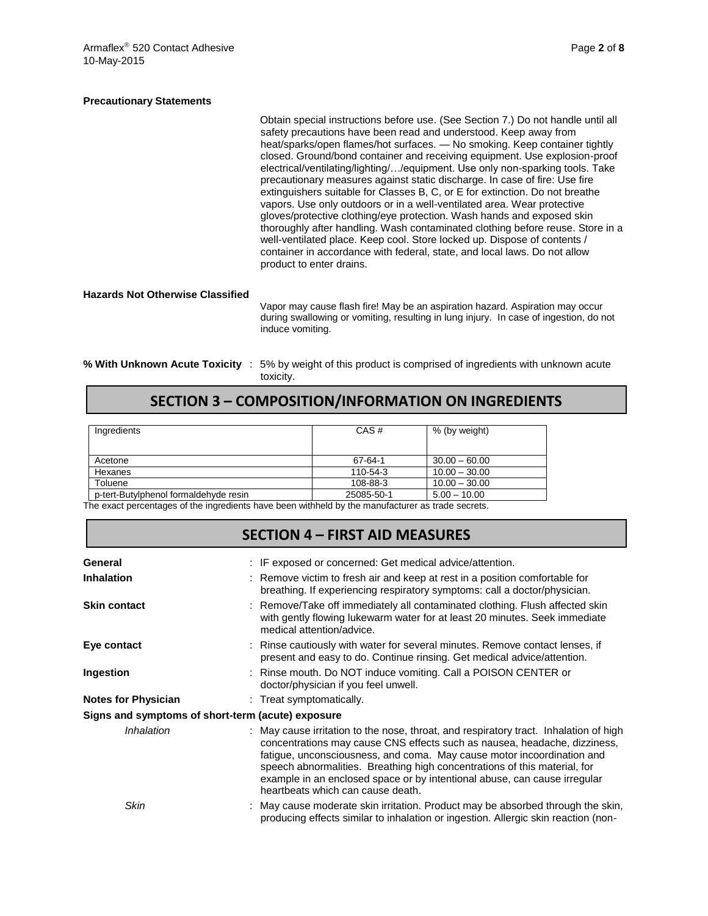#### **Precautionary Statements**

Obtain special instructions before use. (See Section 7.) Do not handle until all safety precautions have been read and understood. Keep away from heat/sparks/open flames/hot surfaces. — No smoking. Keep container tightly closed. Ground/bond container and receiving equipment. Use explosion-proof electrical/ventilating/lighting/…/equipment. Use only non-sparking tools. Take precautionary measures against static discharge. In case of fire: Use fire extinguishers suitable for Classes B, C, or E for extinction. Do not breathe vapors. Use only outdoors or in a well-ventilated area. Wear protective gloves/protective clothing/eye protection. Wash hands and exposed skin thoroughly after handling. Wash contaminated clothing before reuse. Store in a well-ventilated place. Keep cool. Store locked up. Dispose of contents / container in accordance with federal, state, and local laws. Do not allow product to enter drains.

#### **Hazards Not Otherwise Classified**

Vapor may cause flash fire! May be an aspiration hazard. Aspiration may occur during swallowing or vomiting, resulting in lung injury. In case of ingestion, do not induce vomiting.

**% With Unknown Acute Toxicity** : 5% by weight of this product is comprised of ingredients with unknown acute toxicity.

# **SECTION 3 – COMPOSITION/INFORMATION ON INGREDIENTS**

| Ingredients                           | CAS#       | % (by weight)   |
|---------------------------------------|------------|-----------------|
| Acetone                               | 67-64-1    | $30.00 - 60.00$ |
| Hexanes                               | 110-54-3   | $10.00 - 30.00$ |
| Toluene                               | 108-88-3   | $10.00 - 30.00$ |
| p-tert-Butylphenol formaldehyde resin | 25085-50-1 | $5.00 - 10.00$  |

The exact percentages of the ingredients have been withheld by the manufacturer as trade secrets.

|                            | <b>SECTION 4 - FIRST AID MEASURES</b>                                                                                                                                                                                                                                                                                                                                                                                                       |
|----------------------------|---------------------------------------------------------------------------------------------------------------------------------------------------------------------------------------------------------------------------------------------------------------------------------------------------------------------------------------------------------------------------------------------------------------------------------------------|
| General                    | : IF exposed or concerned: Get medical advice/attention.                                                                                                                                                                                                                                                                                                                                                                                    |
| <b>Inhalation</b>          | : Remove victim to fresh air and keep at rest in a position comfortable for<br>breathing. If experiencing respiratory symptoms: call a doctor/physician.                                                                                                                                                                                                                                                                                    |
| <b>Skin contact</b>        | : Remove/Take off immediately all contaminated clothing. Flush affected skin<br>with gently flowing lukewarm water for at least 20 minutes. Seek immediate<br>medical attention/advice.                                                                                                                                                                                                                                                     |
| Eye contact                | : Rinse cautiously with water for several minutes. Remove contact lenses, if<br>present and easy to do. Continue rinsing. Get medical advice/attention.                                                                                                                                                                                                                                                                                     |
| Ingestion                  | : Rinse mouth. Do NOT induce vomiting. Call a POISON CENTER or<br>doctor/physician if you feel unwell.                                                                                                                                                                                                                                                                                                                                      |
| <b>Notes for Physician</b> | : Treat symptomatically.                                                                                                                                                                                                                                                                                                                                                                                                                    |
|                            | Signs and symptoms of short-term (acute) exposure                                                                                                                                                                                                                                                                                                                                                                                           |
| Inhalation                 | : May cause irritation to the nose, throat, and respiratory tract. Inhalation of high<br>concentrations may cause CNS effects such as nausea, headache, dizziness,<br>fatigue, unconsciousness, and coma. May cause motor incoordination and<br>speech abnormalities. Breathing high concentrations of this material, for<br>example in an enclosed space or by intentional abuse, can cause irregular<br>heartbeats which can cause death. |
| Skin                       | : May cause moderate skin irritation. Product may be absorbed through the skin,<br>producing effects similar to inhalation or ingestion. Allergic skin reaction (non-                                                                                                                                                                                                                                                                       |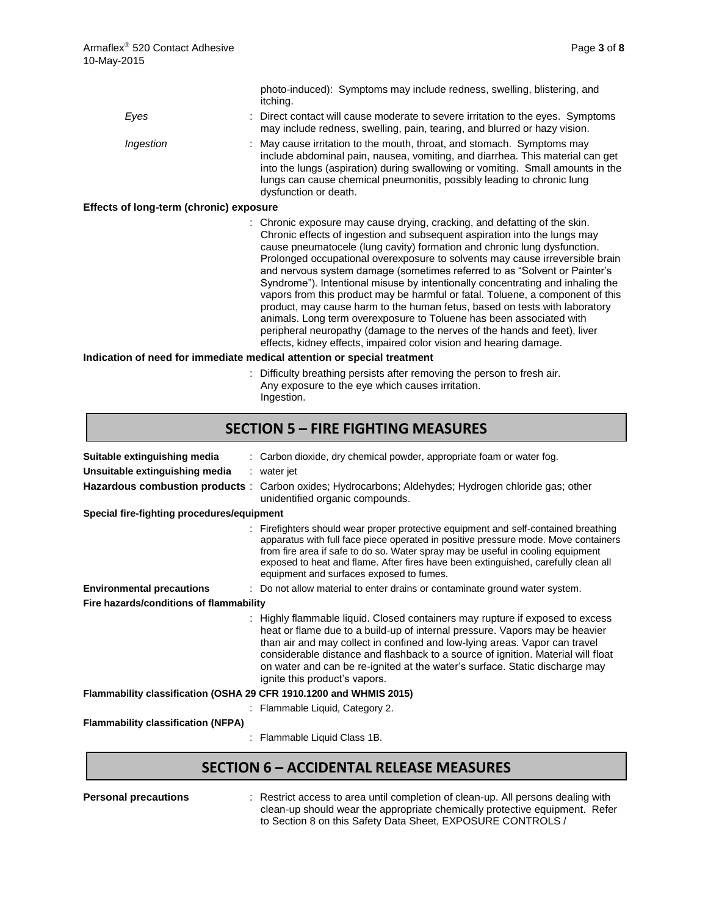|                                         | photo-induced): Symptoms may include redness, swelling, blistering, and<br>itching.                                                                                                                                                                                                                                                                                                                                                                                                                                                                                                                                                                                                                                      |
|-----------------------------------------|--------------------------------------------------------------------------------------------------------------------------------------------------------------------------------------------------------------------------------------------------------------------------------------------------------------------------------------------------------------------------------------------------------------------------------------------------------------------------------------------------------------------------------------------------------------------------------------------------------------------------------------------------------------------------------------------------------------------------|
| Eyes                                    | : Direct contact will cause moderate to severe irritation to the eyes. Symptoms<br>may include redness, swelling, pain, tearing, and blurred or hazy vision.                                                                                                                                                                                                                                                                                                                                                                                                                                                                                                                                                             |
| Ingestion                               | : May cause irritation to the mouth, throat, and stomach. Symptoms may<br>include abdominal pain, nausea, vomiting, and diarrhea. This material can get<br>into the lungs (aspiration) during swallowing or vomiting. Small amounts in the<br>lungs can cause chemical pneumonitis, possibly leading to chronic lung<br>dysfunction or death.                                                                                                                                                                                                                                                                                                                                                                            |
| Effects of long-term (chronic) exposure |                                                                                                                                                                                                                                                                                                                                                                                                                                                                                                                                                                                                                                                                                                                          |
|                                         | : Chronic exposure may cause drying, cracking, and defatting of the skin.<br>Chronic effects of ingestion and subsequent aspiration into the lungs may<br>cause pneumatocele (lung cavity) formation and chronic lung dysfunction.<br>Prolonged occupational overexposure to solvents may cause irreversible brain<br>and nervous system damage (sometimes referred to as "Solvent or Painter's<br>Syndrome"). Intentional misuse by intentionally concentrating and inhaling the<br>vapors from this product may be harmful or fatal. Toluene, a component of this<br>product, may cause harm to the human fetus, based on tests with laboratory<br>animals. Long term overexposure to Toluene has been associated with |

### effects, kidney effects, impaired color vision and hearing damage. **Indication of need for immediate medical attention or special treatment**

: Difficulty breathing persists after removing the person to fresh air. Any exposure to the eye which causes irritation. Ingestion.

peripheral neuropathy (damage to the nerves of the hands and feet), liver

### **SECTION 5 – FIRE FIGHTING MEASURES**

| Suitable extinguishing media<br>Unsuitable extinguishing media<br>Hazardous combustion products : | : Carbon dioxide, dry chemical powder, appropriate foam or water fog.<br>: water jet<br>Carbon oxides; Hydrocarbons; Aldehydes; Hydrogen chloride gas; other<br>unidentified organic compounds.                                                                                                                                                                                                                                                |
|---------------------------------------------------------------------------------------------------|------------------------------------------------------------------------------------------------------------------------------------------------------------------------------------------------------------------------------------------------------------------------------------------------------------------------------------------------------------------------------------------------------------------------------------------------|
| Special fire-fighting procedures/equipment                                                        |                                                                                                                                                                                                                                                                                                                                                                                                                                                |
|                                                                                                   | : Firefighters should wear proper protective equipment and self-contained breathing<br>apparatus with full face piece operated in positive pressure mode. Move containers<br>from fire area if safe to do so. Water spray may be useful in cooling equipment<br>exposed to heat and flame. After fires have been extinguished, carefully clean all<br>equipment and surfaces exposed to fumes.                                                 |
| <b>Environmental precautions</b>                                                                  | : Do not allow material to enter drains or contaminate ground water system.                                                                                                                                                                                                                                                                                                                                                                    |
| Fire hazards/conditions of flammability                                                           |                                                                                                                                                                                                                                                                                                                                                                                                                                                |
|                                                                                                   | : Highly flammable liquid. Closed containers may rupture if exposed to excess<br>heat or flame due to a build-up of internal pressure. Vapors may be heavier<br>than air and may collect in confined and low-lying areas. Vapor can travel<br>considerable distance and flashback to a source of ignition. Material will float<br>on water and can be re-ignited at the water's surface. Static discharge may<br>ignite this product's vapors. |
| Flammability classification (OSHA 29 CFR 1910.1200 and WHMIS 2015)                                |                                                                                                                                                                                                                                                                                                                                                                                                                                                |
|                                                                                                   | : Flammable Liquid, Category 2.                                                                                                                                                                                                                                                                                                                                                                                                                |
| <b>Flammability classification (NFPA)</b>                                                         |                                                                                                                                                                                                                                                                                                                                                                                                                                                |
|                                                                                                   | Flammable Liquid Class 1B.                                                                                                                                                                                                                                                                                                                                                                                                                     |

## **SECTION 6 – ACCIDENTAL RELEASE MEASURES**

**Personal precautions** : Restrict access to area until completion of clean-up. All persons dealing with clean-up should wear the appropriate chemically protective equipment. Refer to Section 8 on this Safety Data Sheet, EXPOSURE CONTROLS /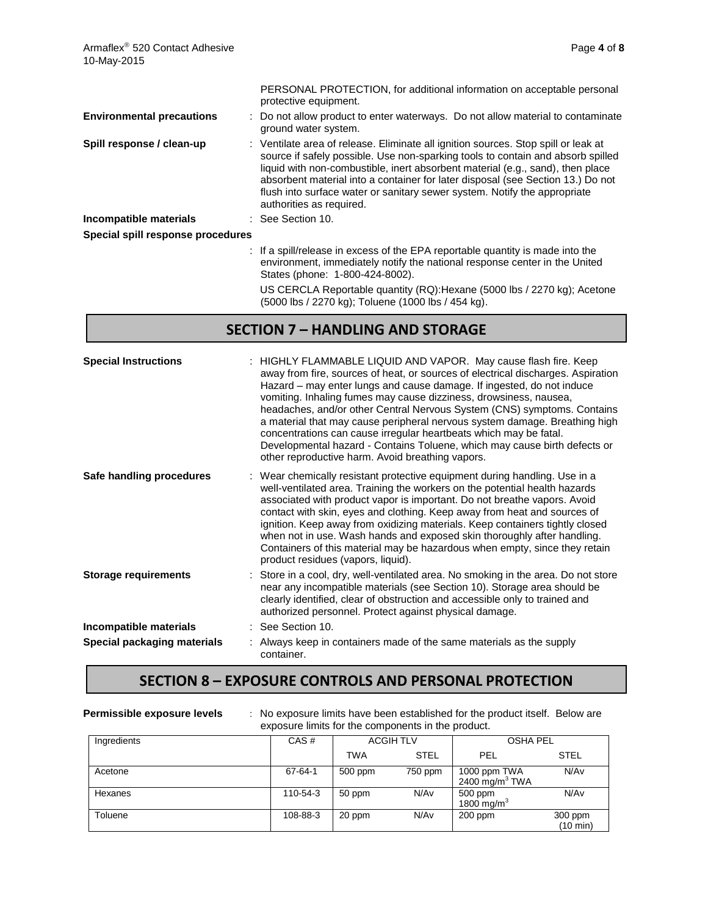|                                   | PERSONAL PROTECTION, for additional information on acceptable personal<br>protective equipment.                                                                                                                                                                                                                                                                                                                                                     |
|-----------------------------------|-----------------------------------------------------------------------------------------------------------------------------------------------------------------------------------------------------------------------------------------------------------------------------------------------------------------------------------------------------------------------------------------------------------------------------------------------------|
| <b>Environmental precautions</b>  | : Do not allow product to enter waterways. Do not allow material to contaminate<br>ground water system.                                                                                                                                                                                                                                                                                                                                             |
| Spill response / clean-up         | : Ventilate area of release. Eliminate all ignition sources. Stop spill or leak at<br>source if safely possible. Use non-sparking tools to contain and absorb spilled<br>liquid with non-combustible, inert absorbent material (e.g., sand), then place<br>absorbent material into a container for later disposal (see Section 13.) Do not<br>flush into surface water or sanitary sewer system. Notify the appropriate<br>authorities as required. |
| Incompatible materials            | : See Section 10.                                                                                                                                                                                                                                                                                                                                                                                                                                   |
| Special spill response procedures |                                                                                                                                                                                                                                                                                                                                                                                                                                                     |
|                                   | : If a spill/release in excess of the EPA reportable quantity is made into the<br>environment, immediately notify the national response center in the United<br>States (phone: 1-800-424-8002).                                                                                                                                                                                                                                                     |
|                                   |                                                                                                                                                                                                                                                                                                                                                                                                                                                     |

US CERCLA Reportable quantity (RQ):Hexane (5000 lbs / 2270 kg); Acetone (5000 lbs / 2270 kg); Toluene (1000 lbs / 454 kg).

### **SECTION 7 – HANDLING AND STORAGE**

| <b>Special Instructions</b> | : HIGHLY FLAMMABLE LIQUID AND VAPOR. May cause flash fire. Keep<br>away from fire, sources of heat, or sources of electrical discharges. Aspiration<br>Hazard – may enter lungs and cause damage. If ingested, do not induce<br>vomiting. Inhaling fumes may cause dizziness, drowsiness, nausea,<br>headaches, and/or other Central Nervous System (CNS) symptoms. Contains<br>a material that may cause peripheral nervous system damage. Breathing high<br>concentrations can cause irregular heartbeats which may be fatal.<br>Developmental hazard - Contains Toluene, which may cause birth defects or<br>other reproductive harm. Avoid breathing vapors. |
|-----------------------------|------------------------------------------------------------------------------------------------------------------------------------------------------------------------------------------------------------------------------------------------------------------------------------------------------------------------------------------------------------------------------------------------------------------------------------------------------------------------------------------------------------------------------------------------------------------------------------------------------------------------------------------------------------------|
| Safe handling procedures    | : Wear chemically resistant protective equipment during handling. Use in a<br>well-ventilated area. Training the workers on the potential health hazards<br>associated with product vapor is important. Do not breathe vapors. Avoid<br>contact with skin, eyes and clothing. Keep away from heat and sources of<br>ignition. Keep away from oxidizing materials. Keep containers tightly closed<br>when not in use. Wash hands and exposed skin thoroughly after handling.<br>Containers of this material may be hazardous when empty, since they retain<br>product residues (vapors, liquid).                                                                  |
| <b>Storage requirements</b> | Store in a cool, dry, well-ventilated area. No smoking in the area. Do not store<br>near any incompatible materials (see Section 10). Storage area should be<br>clearly identified, clear of obstruction and accessible only to trained and<br>authorized personnel. Protect against physical damage.                                                                                                                                                                                                                                                                                                                                                            |
| Incompatible materials      | See Section 10.                                                                                                                                                                                                                                                                                                                                                                                                                                                                                                                                                                                                                                                  |
| Special packaging materials | Always keep in containers made of the same materials as the supply<br>container.                                                                                                                                                                                                                                                                                                                                                                                                                                                                                                                                                                                 |

## **SECTION 8 – EXPOSURE CONTROLS AND PERSONAL PROTECTION**

| Permissible exposure levels | : No exposure limits have been established for the product itself. Below are<br>exposure limits for the components in the product. |         |                  |                                              |                               |  |
|-----------------------------|------------------------------------------------------------------------------------------------------------------------------------|---------|------------------|----------------------------------------------|-------------------------------|--|
| Ingredients                 | CAS#                                                                                                                               |         | <b>ACGIH TLV</b> | <b>OSHA PEL</b>                              |                               |  |
|                             |                                                                                                                                    | TWA     | <b>STEL</b>      | PEL                                          | <b>STEL</b>                   |  |
| Acetone                     | $67 - 64 - 1$                                                                                                                      | 500 ppm | 750 ppm          | 1000 ppm TWA<br>$2400$ mg/m <sup>3</sup> TWA | N/A <sub>v</sub>              |  |
| Hexanes                     | 110-54-3                                                                                                                           | 50 ppm  | N/Av             | 500 ppm<br>1800 mg/m $3$                     | N/A <sub>v</sub>              |  |
| Toluene                     | 108-88-3                                                                                                                           | 20 ppm  | N/Av             | $200$ ppm                                    | 300 ppm<br>$(10 \text{ min})$ |  |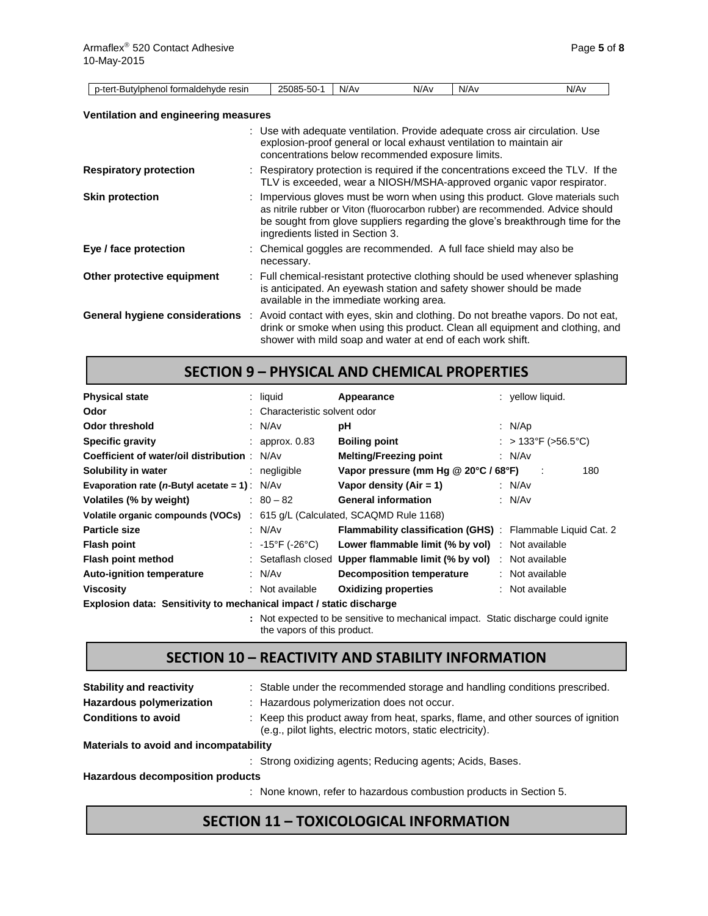| p-tert-Butylphenol formaldehyde resin       | 25085-50-1                       | N/Av | N/Av                                                                                                                      | N/Av | N/Av                                                                                                                                                                                                                                                |
|---------------------------------------------|----------------------------------|------|---------------------------------------------------------------------------------------------------------------------------|------|-----------------------------------------------------------------------------------------------------------------------------------------------------------------------------------------------------------------------------------------------------|
|                                             |                                  |      |                                                                                                                           |      |                                                                                                                                                                                                                                                     |
| <b>Ventilation and engineering measures</b> |                                  |      |                                                                                                                           |      |                                                                                                                                                                                                                                                     |
|                                             |                                  |      | explosion-proof general or local exhaust ventilation to maintain air<br>concentrations below recommended exposure limits. |      | : Use with adequate ventilation. Provide adequate cross air circulation. Use                                                                                                                                                                        |
| <b>Respiratory protection</b>               |                                  |      |                                                                                                                           |      | : Respiratory protection is required if the concentrations exceed the TLV. If the<br>TLV is exceeded, wear a NIOSH/MSHA-approved organic vapor respirator.                                                                                          |
| <b>Skin protection</b>                      | ingredients listed in Section 3. |      |                                                                                                                           |      | : Impervious gloves must be worn when using this product. Glove materials such<br>as nitrile rubber or Viton (fluorocarbon rubber) are recommended. Advice should<br>be sought from glove suppliers regarding the glove's breakthrough time for the |
| Eye / face protection                       | necessary.                       |      | : Chemical goggles are recommended. A full face shield may also be                                                        |      |                                                                                                                                                                                                                                                     |
| Other protective equipment                  |                                  |      | available in the immediate working area.                                                                                  |      | : Full chemical-resistant protective clothing should be used whenever splashing<br>is anticipated. An eyewash station and safety shower should be made                                                                                              |
| General hygiene considerations              |                                  |      | shower with mild soap and water at end of each work shift.                                                                |      | : Avoid contact with eyes, skin and clothing. Do not breathe vapors. Do not eat,<br>drink or smoke when using this product. Clean all equipment and clothing, and                                                                                   |

### **SECTION 9 – PHYSICAL AND CHEMICAL PROPERTIES**

| <b>Physical state</b>                                               | $:$ liquid                           | Appearance                                                          | $:$ vellow liquid.  |
|---------------------------------------------------------------------|--------------------------------------|---------------------------------------------------------------------|---------------------|
| Odor                                                                | : Characteristic solvent odor        |                                                                     |                     |
| <b>Odor threshold</b>                                               | : $N/Av$                             | рH                                                                  | : $N/Ap$            |
| <b>Specific gravity</b>                                             | $:$ approx. 0.83                     | <b>Boiling point</b>                                                | : > 133°F (>56.5°C) |
| <b>Coefficient of water/oil distribution : N/Av</b>                 |                                      | <b>Melting/Freezing point</b>                                       | : $N/Av$            |
| Solubility in water                                                 | $:$ negligible                       | Vapor pressure (mm Hg @ 20°C / 68°F)                                | 180                 |
| Evaporation rate ( <i>n</i> -Butyl acetate = 1): $N/Av$             |                                      | Vapor density $(Air = 1)$                                           | : $N/Av$            |
| Volatiles (% by weight)                                             | $: 80 - 82$                          | <b>General information</b>                                          | : $N/Av$            |
| Volatile organic compounds (VOCs) :                                 |                                      | 615 g/L (Calculated, SCAQMD Rule 1168)                              |                     |
| <b>Particle size</b>                                                | : N/Av                               | <b>Flammability classification (GHS)</b> : Flammable Liquid Cat. 2  |                     |
| <b>Flash point</b>                                                  | : $-15^{\circ}$ F (-26 $^{\circ}$ C) | <b>Lower flammable limit (% by vol)</b> : Not available             |                     |
| Flash point method                                                  |                                      | : Setaflash closed Upper flammable limit (% by vol) : Not available |                     |
| <b>Auto-ignition temperature</b>                                    | : N/Av                               | <b>Decomposition temperature</b>                                    | : Not available     |
| <b>Viscosity</b>                                                    | : Not available                      | <b>Oxidizing properties</b>                                         | : Not available     |
| Explosion data: Sensitivity to mechanical impact / static discharge |                                      |                                                                     |                     |

**:** Not expected to be sensitive to mechanical impact. Static discharge could ignite the vapors of this product.

# **SECTION 10 – REACTIVITY AND STABILITY INFORMATION**

| <b>Stability and reactivity</b>        | : Stable under the recommended storage and handling conditions prescribed.                                                                     |
|----------------------------------------|------------------------------------------------------------------------------------------------------------------------------------------------|
| <b>Hazardous polymerization</b>        | : Hazardous polymerization does not occur.                                                                                                     |
| <b>Conditions to avoid</b>             | : Keep this product away from heat, sparks, flame, and other sources of ignition<br>(e.g., pilot lights, electric motors, static electricity). |
| Materials to avoid and incompatability |                                                                                                                                                |
|                                        | : Strong oxidizing agents; Reducing agents; Acids, Bases.                                                                                      |
|                                        |                                                                                                                                                |

**Hazardous decomposition products**

: None known, refer to hazardous combustion products in Section 5.

### **SECTION 11 – TOXICOLOGICAL INFORMATION**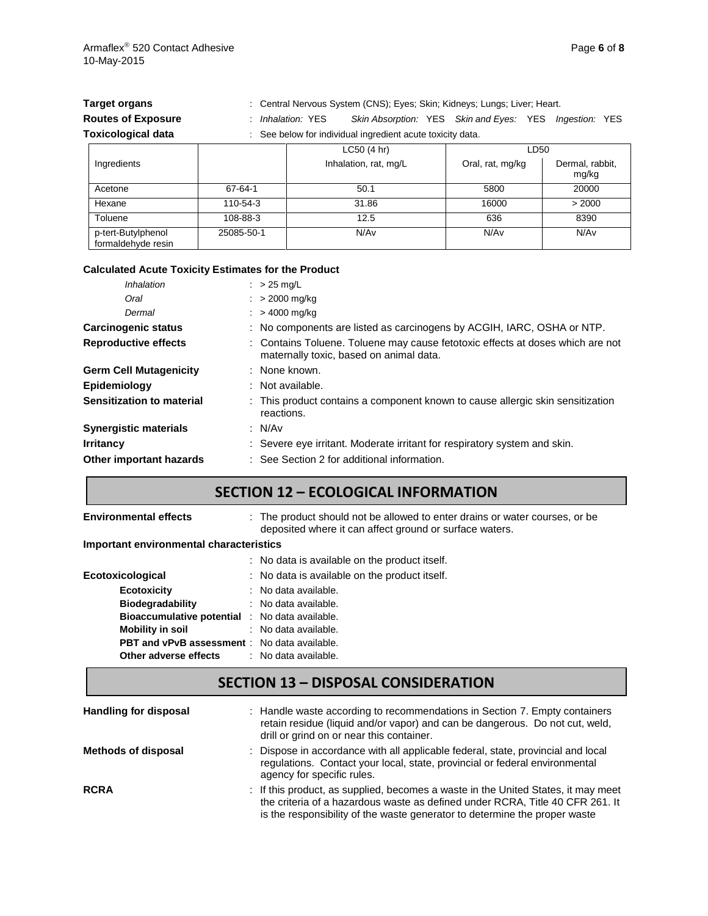| <b>Target organs</b>      | : Central Nervous System (CNS); Eyes; Skin; Kidneys; Lungs; Liver; Heart. |                                                            |  |                  |      |                          |  |  |
|---------------------------|---------------------------------------------------------------------------|------------------------------------------------------------|--|------------------|------|--------------------------|--|--|
| <b>Routes of Exposure</b> | : Inhalation: YES                                                         | Skin Absorption: YES Skin and Eyes: YES Ingestion: YES     |  |                  |      |                          |  |  |
| <b>Toxicological data</b> |                                                                           | : See below for individual ingredient acute toxicity data. |  |                  |      |                          |  |  |
|                           |                                                                           | LC50(4 hr)                                                 |  |                  | LD50 |                          |  |  |
| Ingredients               |                                                                           | Inhalation, rat, mg/L                                      |  | Oral, rat, mg/kg |      | Dermal, rabbit,<br>mg/kg |  |  |

| Acetone                                  | 67-64-1    | 50.1  | 5800  | 20000  |
|------------------------------------------|------------|-------|-------|--------|
| Hexane                                   | 110-54-3   | 31.86 | 16000 | > 2000 |
| Toluene                                  | 108-88-3   | 12.5  | 636   | 8390   |
| p-tert-Butylphenol<br>formaldehyde resin | 25085-50-1 | N/Av  | N/Av  | N/Av   |
|                                          |            |       |       |        |

### **Calculated Acute Toxicity Estimates for the Product**

| Inhalation                    | $\therefore$ > 25 mg/L                                                                                                    |  |  |
|-------------------------------|---------------------------------------------------------------------------------------------------------------------------|--|--|
| Oral                          | $: > 2000 \text{ mg/kg}$                                                                                                  |  |  |
| Dermal                        | $: > 4000 \text{ mg/kg}$                                                                                                  |  |  |
| Carcinogenic status           | : No components are listed as carcinogens by ACGIH, IARC, OSHA or NTP.                                                    |  |  |
| <b>Reproductive effects</b>   | : Contains Toluene. Toluene may cause fetotoxic effects at doses which are not<br>maternally toxic, based on animal data. |  |  |
| <b>Germ Cell Mutagenicity</b> | : None known.                                                                                                             |  |  |
| Epidemiology                  | : Not available.                                                                                                          |  |  |
| Sensitization to material     | : This product contains a component known to cause allergic skin sensitization<br>reactions.                              |  |  |
| <b>Synergistic materials</b>  | : N/Av                                                                                                                    |  |  |
| <b>Irritancy</b>              | : Severe eye irritant. Moderate irritant for respiratory system and skin.                                                 |  |  |
| Other important hazards       | : See Section 2 for additional information.                                                                               |  |  |

## **SECTION 12 – ECOLOGICAL INFORMATION**

#### **Environmental effects** : The product should not be allowed to enter drains or water courses, or be deposited where it can affect ground or surface waters.

**Important environmental characteristics**

|                                                       | : No data is available on the product itself. |
|-------------------------------------------------------|-----------------------------------------------|
| Ecotoxicological                                      | : No data is available on the product itself. |
| <b>Ecotoxicity</b>                                    | : No data available.                          |
| <b>Biodegradability</b>                               | : No data available.                          |
| <b>Bioaccumulative potential : No data available.</b> |                                               |
| Mobility in soil                                      | : No data available.                          |
| <b>PBT and vPvB assessment</b> : No data available.   |                                               |
| Other adverse effects                                 | : No data available.                          |
|                                                       |                                               |

### **SECTION 13 – DISPOSAL CONSIDERATION**

| <b>Handling for disposal</b> | : Handle waste according to recommendations in Section 7. Empty containers<br>retain residue (liquid and/or vapor) and can be dangerous. Do not cut, weld,<br>drill or grind on or near this container.                                          |
|------------------------------|--------------------------------------------------------------------------------------------------------------------------------------------------------------------------------------------------------------------------------------------------|
| <b>Methods of disposal</b>   | : Dispose in accordance with all applicable federal, state, provincial and local<br>regulations. Contact your local, state, provincial or federal environmental<br>agency for specific rules.                                                    |
| <b>RCRA</b>                  | : If this product, as supplied, becomes a waste in the United States, it may meet<br>the criteria of a hazardous waste as defined under RCRA, Title 40 CFR 261. It<br>is the responsibility of the waste generator to determine the proper waste |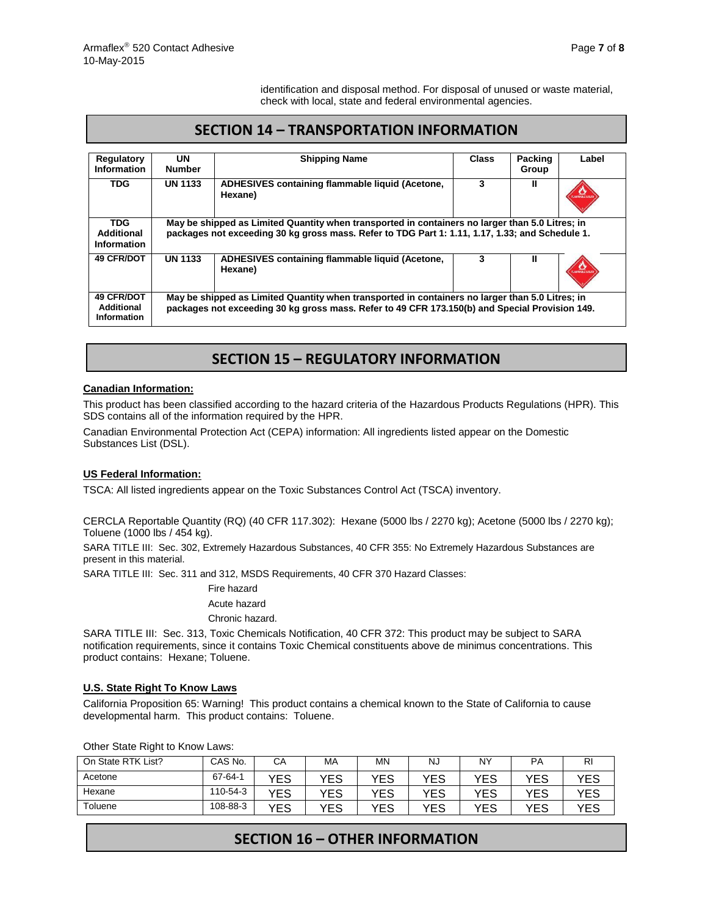identification and disposal method. For disposal of unused or waste material, check with local, state and federal environmental agencies.

## **SECTION 14 – TRANSPORTATION INFORMATION**

| Regulatory                                     | <b>UN</b>                                                                                                                                                                                          |                                                            | <b>Class</b> | Packing | Label                  |
|------------------------------------------------|----------------------------------------------------------------------------------------------------------------------------------------------------------------------------------------------------|------------------------------------------------------------|--------------|---------|------------------------|
| <b>Information</b>                             | <b>Number</b>                                                                                                                                                                                      | <b>Shipping Name</b>                                       |              | Group   |                        |
|                                                |                                                                                                                                                                                                    |                                                            |              |         |                        |
| <b>TDG</b>                                     | <b>UN 1133</b>                                                                                                                                                                                     | ADHESIVES containing flammable liquid (Acetone,<br>Hexane) | 3            | Ш       | <b>FLAMMARIE LIQUE</b> |
| <b>TDG</b><br>Additional<br>Information        | May be shipped as Limited Quantity when transported in containers no larger than 5.0 Litres; in<br>packages not exceeding 30 kg gross mass. Refer to TDG Part 1: 1.11, 1.17, 1.33; and Schedule 1. |                                                            |              |         |                        |
| <b>49 CFR/DOT</b>                              | <b>UN 1133</b>                                                                                                                                                                                     | ADHESIVES containing flammable liquid (Acetone,<br>Hexane) | 3            | Ш       | <b>FLAMMARE LIQUE</b>  |
| <b>49 CFR/DOT</b><br>Additional<br>Information | May be shipped as Limited Quantity when transported in containers no larger than 5.0 Litres; in<br>packages not exceeding 30 kg gross mass. Refer to 49 CFR 173.150(b) and Special Provision 149.  |                                                            |              |         |                        |

# **SECTION 15 – REGULATORY INFORMATION**

### **Canadian Information:**

This product has been classified according to the hazard criteria of the Hazardous Products Regulations (HPR). This SDS contains all of the information required by the HPR.

Canadian Environmental Protection Act (CEPA) information: All ingredients listed appear on the Domestic Substances List (DSL).

### **US Federal Information:**

TSCA: All listed ingredients appear on the Toxic Substances Control Act (TSCA) inventory.

CERCLA Reportable Quantity (RQ) (40 CFR 117.302): Hexane (5000 lbs / 2270 kg); Acetone (5000 lbs / 2270 kg); Toluene (1000 lbs / 454 kg).

SARA TITLE III: Sec. 302, Extremely Hazardous Substances, 40 CFR 355: No Extremely Hazardous Substances are present in this material.

SARA TITLE III: Sec. 311 and 312, MSDS Requirements, 40 CFR 370 Hazard Classes:

Fire hazard Acute hazard

Chronic hazard.

SARA TITLE III: Sec. 313, Toxic Chemicals Notification, 40 CFR 372: This product may be subject to SARA notification requirements, since it contains Toxic Chemical constituents above de minimus concentrations. This product contains: Hexane; Toluene.

#### **U.S. State Right To Know Laws**

California Proposition 65: Warning! This product contains a chemical known to the State of California to cause developmental harm. This product contains: Toluene.

| On State RTK List? | CAS No.       | CА  | МA  | MΝ  | NJ  | N٢  | PA  | RI   |
|--------------------|---------------|-----|-----|-----|-----|-----|-----|------|
| Acetone            | $67 - 64 - 1$ | YES | YES | YES | YES | YES | YES | YES  |
| Hexane             | 110-54-3      | YES | YES | YES | YES | YES | YES | YES  |
| Toluene            | 108-88-3      | YES | YES | YES | YES | YES | YES | YES. |

Other State Right to Know Laws:

# **SECTION 16 – OTHER INFORMATION**